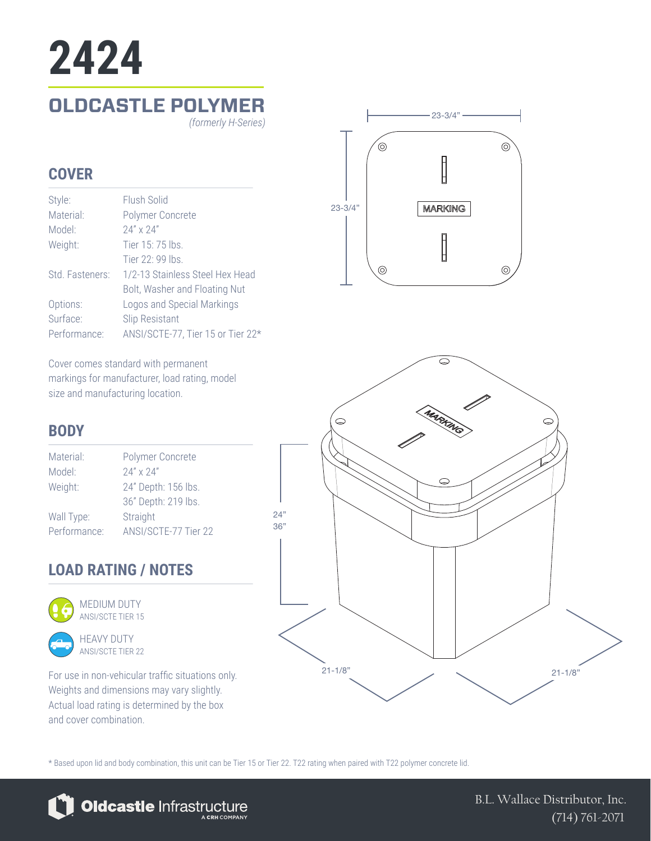# **OLDCASTLE POLYMER 2424** *(formerly H-Series)*

#### **COVER**

| Style:          | Flush Solid                       |
|-----------------|-----------------------------------|
| Material:       | Polymer Concrete                  |
| Model:          | 24" x 24"                         |
| Weight:         | Tier 15: 75 lbs.                  |
|                 | Tier $22 \cdot 99$ lhs            |
| Std. Fasteners: | 1/2-13 Stainless Steel Hex Head   |
|                 | Bolt, Washer and Floating Nut     |
| Options:        | Logos and Special Markings        |
| Surface:        | <b>Slip Resistant</b>             |
| Performance:    | ANSI/SCTE-77, Tier 15 or Tier 22* |

Cover comes standard with permanent markings for manufacturer, load rating, model size and manufacturing location.

# **BODY**

| Material:    | Polymer Concrete     |
|--------------|----------------------|
| Model:       | $24'' \times 24''$   |
| Weight:      | 24" Depth: 156 lbs.  |
|              | 36" Depth: 219 lbs.  |
| Wall Type:   | Straight             |
| Performance: | ANSI/SCTE-77 Tier 22 |

# **LOAD RATING / NOTES**



ANSI/SCTE TIER 15



For use in non-vehicular traffic situations only. Weights and dimensions may vary slightly. Actual load rating is determined by the box and cover combination.





\* Based upon lid and body combination, this unit can be Tier 15 or Tier 22. T22 rating when paired with T22 polymer concrete lid.



B.L. Wallace Distributor, Inc. (714) 761-2071